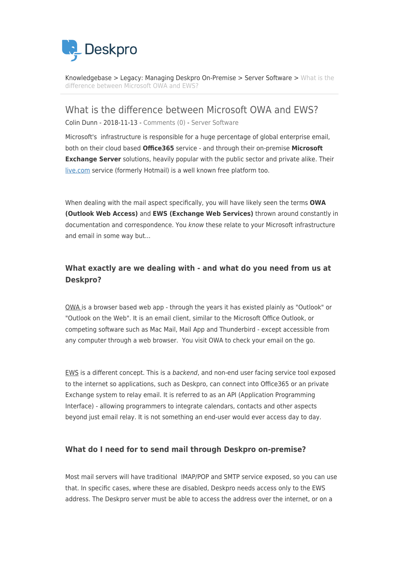

[Knowledgebase](https://support.deskpro.com/cy-GB/kb) > [Legacy: Managing Deskpro On-Premise](https://support.deskpro.com/cy-GB/kb/legacy-managing-deskpro-on-premise) > [Server Software](https://support.deskpro.com/cy-GB/kb/server-software) > [What is the](https://support.deskpro.com/cy-GB/kb/articles/what-is-the-difference-between-microsoft-owa-and-ews) [difference between Microsoft OWA and EWS?](https://support.deskpro.com/cy-GB/kb/articles/what-is-the-difference-between-microsoft-owa-and-ews)

What is the difference between Microsoft OWA and EWS? Colin Dunn - 2018-11-13 - [Comments \(0\)](#page--1-0) - [Server Software](https://support.deskpro.com/cy-GB/kb/server-software)

Microsoft's infrastructure is responsible for a huge percentage of global enterprise email, both on their cloud based **Office365** service - and through their on-premise **Microsoft Exchange Server** solutions, heavily popular with the public sector and private alike. Their [live.com](https://live.com) service (formerly Hotmail) is a well known free platform too.

When dealing with the mail aspect specifically, you will have likely seen the terms **OWA (Outlook Web Access)** and **EWS (Exchange Web Services)** thrown around constantly in documentation and correspondence. You know these relate to your Microsoft infrastructure and email in some way but...

# **What exactly are we dealing with - and what do you need from us at Deskpro?**

OWA is a browser based web app - through the years it has existed plainly as "Outlook" or "Outlook on the Web". It is an email client, similar to the Microsoft Office Outlook, or competing software such as Mac Mail, Mail App and Thunderbird - except accessible from any computer through a web browser. You visit OWA to check your email on the go.

EWS is a different concept. This is a backend, and non-end user facing service tool exposed to the internet so applications, such as Deskpro, can connect into Office365 or an private Exchange system to relay email. It is referred to as an API (Application Programming Interface) - allowing programmers to integrate calendars, contacts and other aspects beyond just email relay. It is not something an end-user would ever access day to day.

## **What do I need for to send mail through Deskpro on-premise?**

Most mail servers will have traditional IMAP/POP and SMTP service exposed, so you can use that. In specific cases, where these are disabled, Deskpro needs access only to the EWS address. The Deskpro server must be able to access the address over the internet, or on a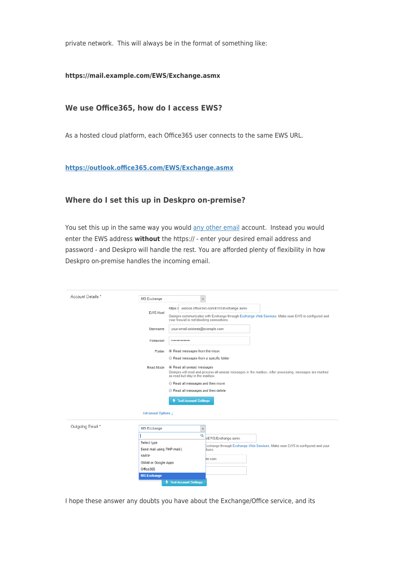private network. This will always be in the format of something like:

### **https://mail.example.com/EWS/Exchange.asmx**

# **We use Office365, how do I access EWS?**

As a hosted cloud platform, each Office365 user connects to the same EWS URL.

#### **<https://outlook.office365.com/EWS/Exchange.asmx>**

### **Where do I set this up in Deskpro on-premise?**

You set this up in the same way you would [any other email](https://support.deskpro.com/en/guides/sysadmin-guide/configuring-on-premise/email-accounts) account. Instead you would enter the EWS address **without** the https:// - enter your desired email address and password - and Deskpro will handle the rest. You are afforded plenty of flexibility in how Deskpro on-premise handles the incoming email.

| Account Details * | MS Exchange                                                                                                                                                                          |
|-------------------|--------------------------------------------------------------------------------------------------------------------------------------------------------------------------------------|
|                   | https:// outlook.office365.com/EWS/Exchange.asmx<br><b>EWS Host</b>                                                                                                                  |
|                   | Deskpro communicates with Exchange through Exchange Web Services. Make sure EWS is configured and<br>your firewall is not blocking connections.                                      |
|                   | your-email-address@example.com<br>Usemame                                                                                                                                            |
|                   | Password<br>                                                                                                                                                                         |
|                   | • Read messages from the inbox<br>Folder                                                                                                                                             |
|                   | Read messages from a specific folder                                                                                                                                                 |
|                   | Read all unread messages<br>Read Mode<br>Deskpro will read and process all unread messages in the mailbox. After processing, messages are marked<br>as read but stay in the mailbox. |
|                   | Read all messages and then move                                                                                                                                                      |
|                   | Read all messages and then delete                                                                                                                                                    |
|                   | <b>Test Account Settings</b>                                                                                                                                                         |
|                   |                                                                                                                                                                                      |
|                   | Advanced Options 1                                                                                                                                                                   |
|                   | MS Exchange<br>$\mathbf{v}$                                                                                                                                                          |
|                   | Q<br>VEWS/Exchange.asmx                                                                                                                                                              |
|                   | Select type<br>Exchange through Exchange Web Services. Make sure EWS is configured and your                                                                                          |
|                   | Send mail using PHP mail()<br>tions.                                                                                                                                                 |
|                   | SMTP<br>le.com                                                                                                                                                                       |
| Outgoing Email *  | GMail or Google Apps<br>Office365                                                                                                                                                    |

I hope these answer any doubts you have about the Exchange/Office service, and its